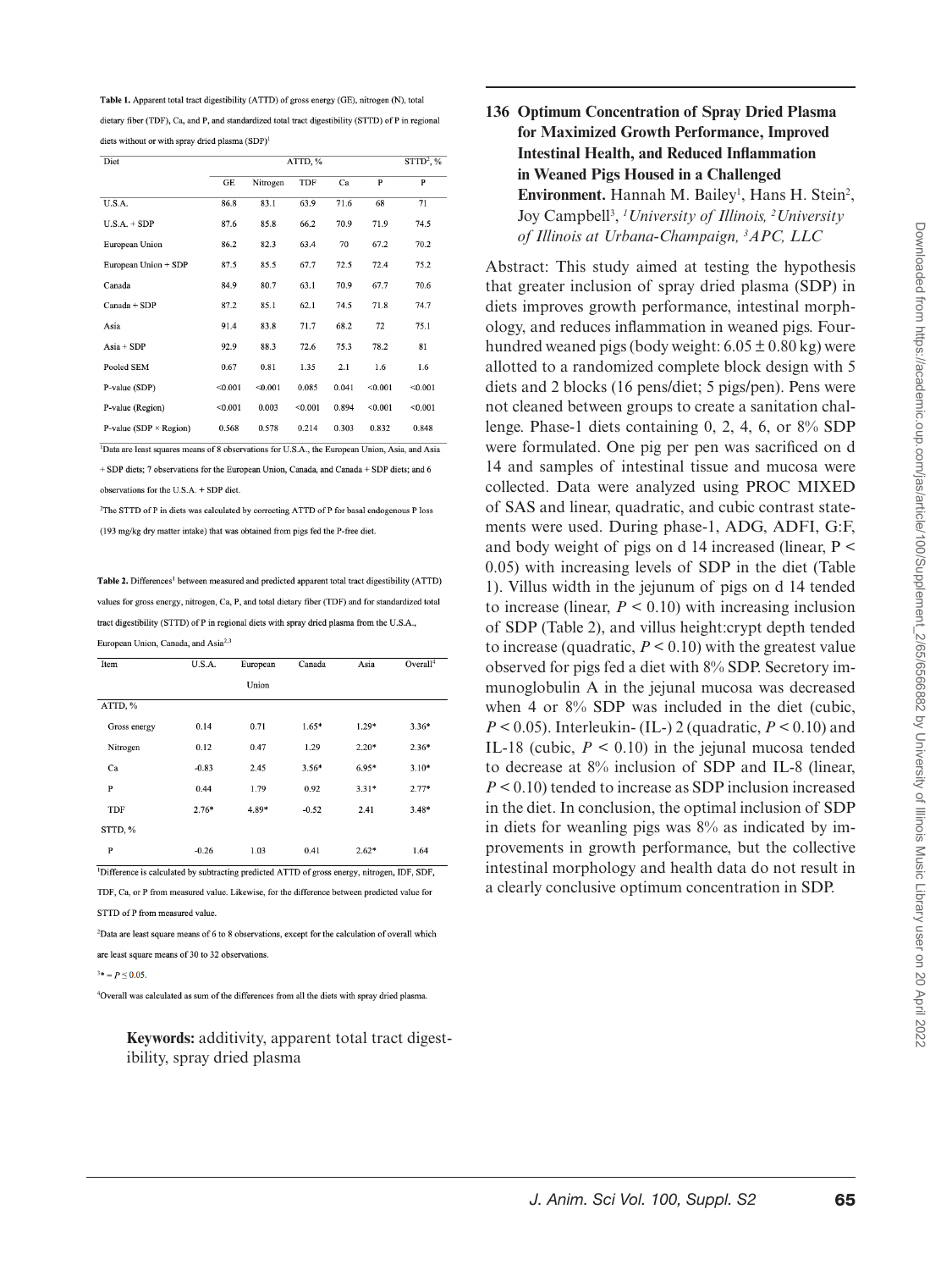Table 1. Apparent total tract digestibility (ATTD) of gross energy (GE), nitrogen (N), total dietary fiber (TDF), Ca, and P, and standardized total tract digestibility (STTD) of P in regional diets without or with spray dried plasma (SDP)<sup>1</sup>

| Diet                                                                                                       | $STTD2$ , %<br>ATTD, % |          |         |       |         |              |  |  |
|------------------------------------------------------------------------------------------------------------|------------------------|----------|---------|-------|---------|--------------|--|--|
|                                                                                                            | GE                     | Nitrogen | TDF     | Ca    | P       | $\mathbf{P}$ |  |  |
| U.S.A.                                                                                                     | 86.8                   | 83.1     | 63.9    | 71.6  | 68      | 71           |  |  |
| $U.S.A. + SDP$                                                                                             | 87.6                   | 85.8     | 66.2    | 70.9  | 71.9    | 74.5         |  |  |
| European Union                                                                                             | 86.2                   | 82.3     | 63.4    | 70    | 67.2    | 70.2         |  |  |
| European Union + SDP                                                                                       | 87.5                   | 85.5     | 67.7    | 72.5  | 72.4    | 75.2         |  |  |
| Canada                                                                                                     | 84.9                   | 80.7     | 63.1    | 70.9  | 67.7    | 70.6         |  |  |
| $Canada + SDP$                                                                                             | 87.2                   | 85.1     | 62.1    | 74.5  |         | 74.7         |  |  |
| Asia                                                                                                       | 91.4                   | 83.8     | 71.7    | 68.2  | 72      | 75.1         |  |  |
| $Asia + SDP$                                                                                               | 92.9                   | 88.3     | 72.6    | 75.3  | 78.2    | 81           |  |  |
| Pooled SEM                                                                                                 | 0.67                   | 0.81     | 1.35    | 2.1   | 1.6     | 1.6          |  |  |
| P-value (SDP)                                                                                              | < 0.001                | < 0.001  | 0.085   | 0.041 | < 0.001 | < 0.001      |  |  |
| P-value (Region)                                                                                           | < 0.001                | 0.003    | < 0.001 | 0.894 | < 0.001 | < 0.001      |  |  |
| P-value (SDP $\times$ Region)                                                                              | 0.568                  | 0.578    | 0.214   | 0.303 | 0.832   | 0.848        |  |  |
| <sup>1</sup> Data are least squares means of 8 observations for U.S.A., the European Union, Asia, and Asia |                        |          |         |       |         |              |  |  |

+ SDP diets; 7 observations for the European Union, Canada, and Canada + SDP diets; and 6 observations for the U.S.A. + SDP diet.

 $^2\!{\rm The\;STTD\;of\;}P$  in diets was calculated by correcting ATTD of P for basal endogenous P loss (193 mg/kg dry matter intake) that was obtained from pigs fed the P-free diet.

Table 2. Differences<sup>1</sup> between measured and predicted apparent total tract digestibility (ATTD) values for gross energy, nitrogen, Ca, P, and total dietary fiber (TDF) and for standardized total tract digestibility (STTD) of P in regional diets with spray dried plasma from the U.S.A., European Union, Canada, and Asia<sup>2,3</sup>

| Item         | U.S.A.  | European | Canada  | Asia    | Overall <sup>4</sup> |
|--------------|---------|----------|---------|---------|----------------------|
|              |         | Union    |         |         |                      |
| ATTD, %      |         |          |         |         |                      |
| Gross energy | 0.14    | 0.71     | $1.65*$ | $1.29*$ | $3.36*$              |
| Nitrogen     | 0.12    | 0.47     | 1.29    | $2.20*$ | $2.36*$              |
| Ca           | $-0.83$ | 2.45     | $3.56*$ | $6.95*$ | $3.10*$              |
| P            | 0.44    | 1.79     | 0.92    | $3.31*$ | $2.77*$              |
| TDF          | $2.76*$ | 4.89*    | $-0.52$ | 2.41    | $3.48*$              |
| STTD, %      |         |          |         |         |                      |
| P            | $-0.26$ | 1.03     | 0.41    | $2.62*$ | 1.64                 |

<sup>1</sup>Difference is calculated by subtracting predicted ATTD of gross energy, nitrogen, IDF, SDF, TDF, Ca, or P from measured value. Likewise, for the difference between predicted value for

STTD of P from measured value

<sup>2</sup>Data are least square means of 6 to 8 observations, except for the calculation of overall which

are least square means of 30 to 32 observations

 $3* = P \le 0.05$ 

<sup>4</sup>Overall was calculated as sum of the differences from all the diets with spray dried plasma.

**Keywords:** additivity, apparent total tract digestibility, spray dried plasma

## **136 Optimum Concentration of Spray Dried Plasma for Maximized Growth Performance, Improved Intestinal Health, and Reduced Inflammation in Weaned Pigs Housed in a Challenged Environment.** Hannah M. Bailey<sup>1</sup>, Hans H. Stein<sup>2</sup>, Joy Campbell3 , *1 University of Illinois, <sup>2</sup> University of Illinois at Urbana-Champaign, <sup>3</sup> APC, LLC*

Abstract: This study aimed at testing the hypothesis that greater inclusion of spray dried plasma (SDP) in diets improves growth performance, intestinal morphology, and reduces inflammation in weaned pigs. Fourhundred weaned pigs (body weight:  $6.05 \pm 0.80$  kg) were allotted to a randomized complete block design with 5 diets and 2 blocks (16 pens/diet; 5 pigs/pen). Pens were not cleaned between groups to create a sanitation challenge. Phase-1 diets containing  $0, 2, 4, 6$ , or  $8\%$  SDP were formulated. One pig per pen was sacrificed on d 14 and samples of intestinal tissue and mucosa were collected. Data were analyzed using PROC MIXED of SAS and linear, quadratic, and cubic contrast statements were used. During phase-1, ADG, ADFI, G:F, and body weight of pigs on d 14 increased (linear,  $P \leq$ 0.05) with increasing levels of SDP in the diet (Table 1). Villus width in the jejunum of pigs on d 14 tended to increase (linear,  $P < 0.10$ ) with increasing inclusion of SDP (Table 2), and villus height:crypt depth tended to increase (quadratic,  $P \leq 0.10$ ) with the greatest value observed for pigs fed a diet with 8% SDP. Secretory immunoglobulin A in the jejunal mucosa was decreased when 4 or 8% SDP was included in the diet (cubic,  $P < 0.05$ ). Interleukin- (IL-) 2 (quadratic,  $P < 0.10$ ) and IL-18 (cubic,  $P < 0.10$ ) in the jejunal mucosa tended to decrease at 8% inclusion of SDP and IL-8 (linear, *P* < 0.10) tended to increase as SDP inclusion increased in the diet. In conclusion, the optimal inclusion of SDP in diets for weanling pigs was 8% as indicated by improvements in growth performance, but the collective intestinal morphology and health data do not result in a clearly conclusive optimum concentration in SDP.